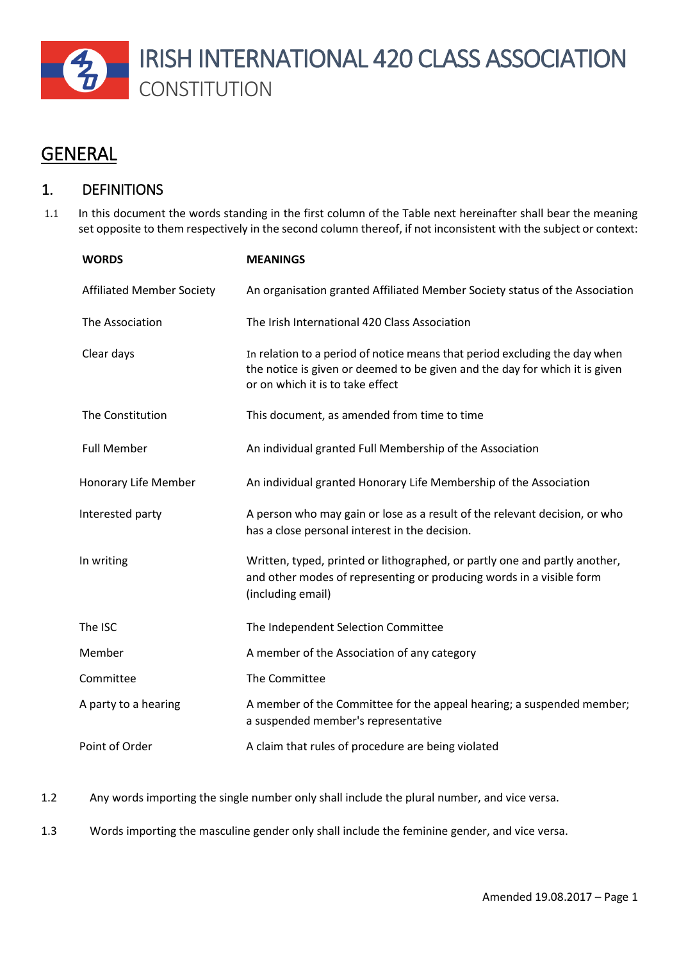

# **GENERAL**

## 1. DEFINITIONS

1.1 In this document the words standing in the first column of the Table next hereinafter shall bear the meaning set opposite to them respectively in the second column thereof, if not inconsistent with the subject or context:

| <b>WORDS</b>                     | <b>MEANINGS</b>                                                                                                                                                                               |
|----------------------------------|-----------------------------------------------------------------------------------------------------------------------------------------------------------------------------------------------|
| <b>Affiliated Member Society</b> | An organisation granted Affiliated Member Society status of the Association                                                                                                                   |
| The Association                  | The Irish International 420 Class Association                                                                                                                                                 |
| Clear days                       | In relation to a period of notice means that period excluding the day when<br>the notice is given or deemed to be given and the day for which it is given<br>or on which it is to take effect |
| The Constitution                 | This document, as amended from time to time                                                                                                                                                   |
| <b>Full Member</b>               | An individual granted Full Membership of the Association                                                                                                                                      |
| Honorary Life Member             | An individual granted Honorary Life Membership of the Association                                                                                                                             |
| Interested party                 | A person who may gain or lose as a result of the relevant decision, or who<br>has a close personal interest in the decision.                                                                  |
| In writing                       | Written, typed, printed or lithographed, or partly one and partly another,<br>and other modes of representing or producing words in a visible form<br>(including email)                       |
| The ISC                          | The Independent Selection Committee                                                                                                                                                           |
| Member                           | A member of the Association of any category                                                                                                                                                   |
| Committee                        | The Committee                                                                                                                                                                                 |
| A party to a hearing             | A member of the Committee for the appeal hearing; a suspended member;<br>a suspended member's representative                                                                                  |
| Point of Order                   | A claim that rules of procedure are being violated                                                                                                                                            |

- 1.2 Any words importing the single number only shall include the plural number, and vice versa.
- 1.3 Words importing the masculine gender only shall include the feminine gender, and vice versa.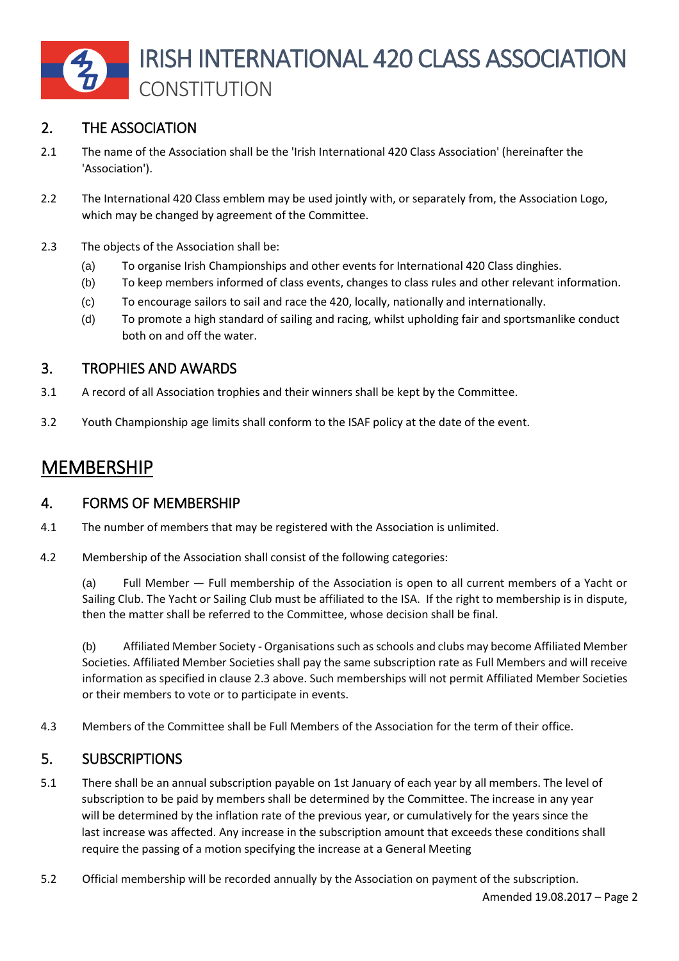

## 2. THE ASSOCIATION

- 2.1 The name of the Association shall be the 'Irish International 420 Class Association' (hereinafter the 'Association').
- 2.2 The International 420 Class emblem may be used jointly with, or separately from, the Association Logo, which may be changed by agreement of the Committee.
- 2.3 The objects of the Association shall be:
	- (a) To organise Irish Championships and other events for International 420 Class dinghies.
	- (b) To keep members informed of class events, changes to class rules and other relevant information.
	- (c) To encourage sailors to sail and race the 420, locally, nationally and internationally.
	- (d) To promote a high standard of sailing and racing, whilst upholding fair and sportsmanlike conduct both on and off the water.

## 3. TROPHIES AND AWARDS

- 3.1 A record of all Association trophies and their winners shall be kept by the Committee.
- 3.2 Youth Championship age limits shall conform to the ISAF policy at the date of the event.

# MEMBERSHIP

#### 4. FORMS OF MEMBERSHIP

- 4.1 The number of members that may be registered with the Association is unlimited.
- 4.2 Membership of the Association shall consist of the following categories:

(a) Full Member — Full membership of the Association is open to all current members of a Yacht or Sailing Club. The Yacht or Sailing Club must be affiliated to the ISA. If the right to membership is in dispute, then the matter shall be referred to the Committee, whose decision shall be final.

(b) Affiliated Member Society - Organisations such as schools and clubs may become Affiliated Member Societies. Affiliated Member Societies shall pay the same subscription rate as Full Members and will receive information as specified in clause 2.3 above. Such memberships will not permit Affiliated Member Societies or their members to vote or to participate in events.

4.3 Members of the Committee shall be Full Members of the Association for the term of their office.

#### 5. SUBSCRIPTIONS

- 5.1 There shall be an annual subscription payable on 1st January of each year by all members. The level of subscription to be paid by members shall be determined by the Committee. The increase in any year will be determined by the inflation rate of the previous year, or cumulatively for the years since the last increase was affected. Any increase in the subscription amount that exceeds these conditions shall require the passing of a motion specifying the increase at a General Meeting
- 5.2 Official membership will be recorded annually by the Association on payment of the subscription.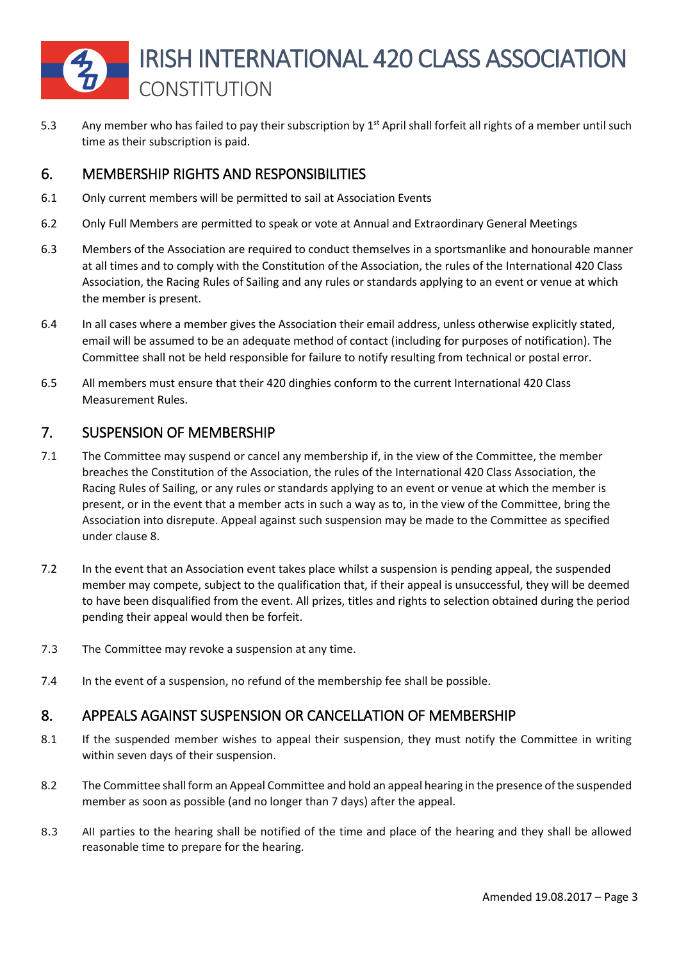5.3 Any member who has failed to pay their subscription by 1<sup>st</sup> April shall forfeit all rights of a member until such time as their subscription is paid.

## 6. MEMBERSHIP RIGHTS AND RESPONSIBILITIES

- 6.1 Only current members will be permitted to sail at Association Events
- 6.2 Only Full Members are permitted to speak or vote at Annual and Extraordinary General Meetings
- 6.3 Members of the Association are required to conduct themselves in a sportsmanlike and honourable manner at all times and to comply with the Constitution of the Association, the rules of the International 420 Class Association, the Racing Rules of Sailing and any rules or standards applying to an event or venue at which the member is present.
- 6.4 In all cases where a member gives the Association their email address, unless otherwise explicitly stated, email will be assumed to be an adequate method of contact (including for purposes of notification). The Committee shall not be held responsible for failure to notify resulting from technical or postal error.
- 6.5 All members must ensure that their 420 dinghies conform to the current International 420 Class Measurement Rules.

## 7. SUSPENSION OF MEMBERSHIP

- 7.1 The Committee may suspend or cancel any membership if, in the view of the Committee, the member breaches the Constitution of the Association, the rules of the International 420 Class Association, the Racing Rules of Sailing, or any rules or standards applying to an event or venue at which the member is present, or in the event that a member acts in such a way as to, in the view of the Committee, bring the Association into disrepute. Appeal against such suspension may be made to the Committee as specified under clause 8.
- 7.2 In the event that an Association event takes place whilst a suspension is pending appeal, the suspended member may compete, subject to the qualification that, if their appeal is unsuccessful, they will be deemed to have been disqualified from the event. All prizes, titles and rights to selection obtained during the period pending their appeal would then be forfeit.
- 7.3 The Committee may revoke a suspension at any time.
- 7.4 In the event of a suspension, no refund of the membership fee shall be possible.

## 8. APPEALS AGAINST SUSPENSION OR CANCELLATION OF MEMBERSHIP

- 8.1 If the suspended member wishes to appeal their suspension, they must notify the Committee in writing within seven days of their suspension.
- 8.2 The Committee shall form an Appeal Committee and hold an appeal hearing in the presence of the suspended member as soon as possible (and no longer than 7 days) after the appeal.
- 8.3 All parties to the hearing shall be notified of the time and place of the hearing and they shall be allowed reasonable time to prepare for the hearing.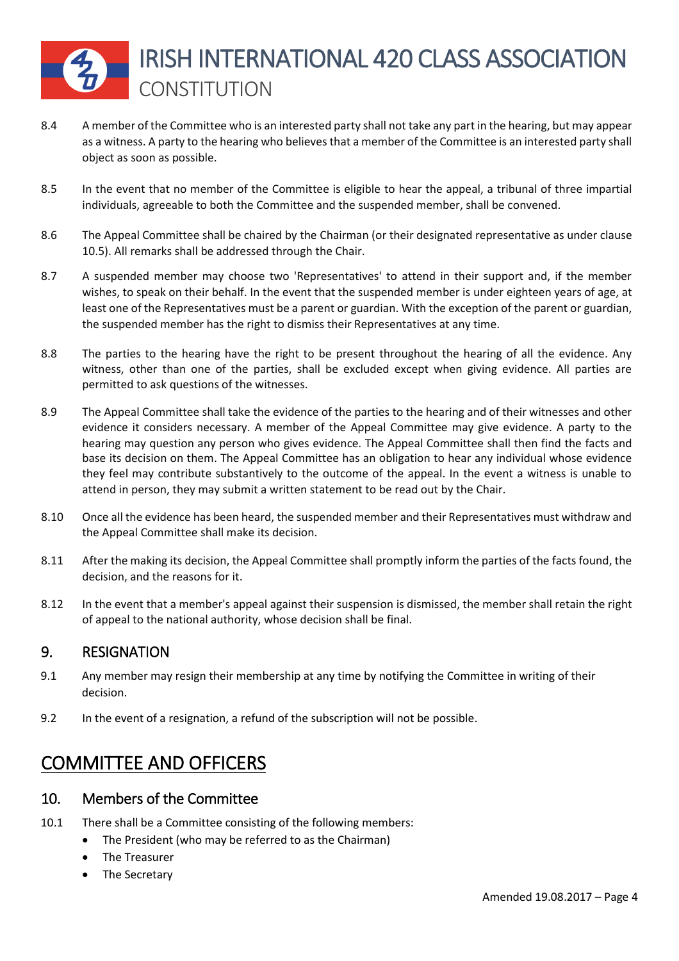- 8.4 A member of the Committee who is an interested party shall not take any part in the hearing, but may appear as a witness. A party to the hearing who believes that a member of the Committee is an interested party shall object as soon as possible.
- 8.5 In the event that no member of the Committee is eligible to hear the appeal, a tribunal of three impartial individuals, agreeable to both the Committee and the suspended member, shall be convened.
- 8.6 The Appeal Committee shall be chaired by the Chairman (or their designated representative as under clause 10.5). All remarks shall be addressed through the Chair.
- 8.7 A suspended member may choose two 'Representatives' to attend in their support and, if the member wishes, to speak on their behalf. In the event that the suspended member is under eighteen years of age, at least one of the Representatives must be a parent or guardian. With the exception of the parent or guardian, the suspended member has the right to dismiss their Representatives at any time.
- 8.8 The parties to the hearing have the right to be present throughout the hearing of all the evidence. Any witness, other than one of the parties, shall be excluded except when giving evidence. All parties are permitted to ask questions of the witnesses.
- 8.9 The Appeal Committee shall take the evidence of the parties to the hearing and of their witnesses and other evidence it considers necessary. A member of the Appeal Committee may give evidence. A party to the hearing may question any person who gives evidence. The Appeal Committee shall then find the facts and base its decision on them. The Appeal Committee has an obligation to hear any individual whose evidence they feel may contribute substantively to the outcome of the appeal. In the event a witness is unable to attend in person, they may submit a written statement to be read out by the Chair.
- 8.10 Once all the evidence has been heard, the suspended member and their Representatives must withdraw and the Appeal Committee shall make its decision.
- 8.11 After the making its decision, the Appeal Committee shall promptly inform the parties of the facts found, the decision, and the reasons for it.
- 8.12 In the event that a member's appeal against their suspension is dismissed, the member shall retain the right of appeal to the national authority, whose decision shall be final.

#### 9. RESIGNATION

- 9.1 Any member may resign their membership at any time by notifying the Committee in writing of their decision.
- 9.2 In the event of a resignation, a refund of the subscription will not be possible.

# COMMITTEE AND OFFICERS

#### 10. Members of the Committee

- 10.1 There shall be a Committee consisting of the following members:
	- The President (who may be referred to as the Chairman)
	- The Treasurer
	- The Secretary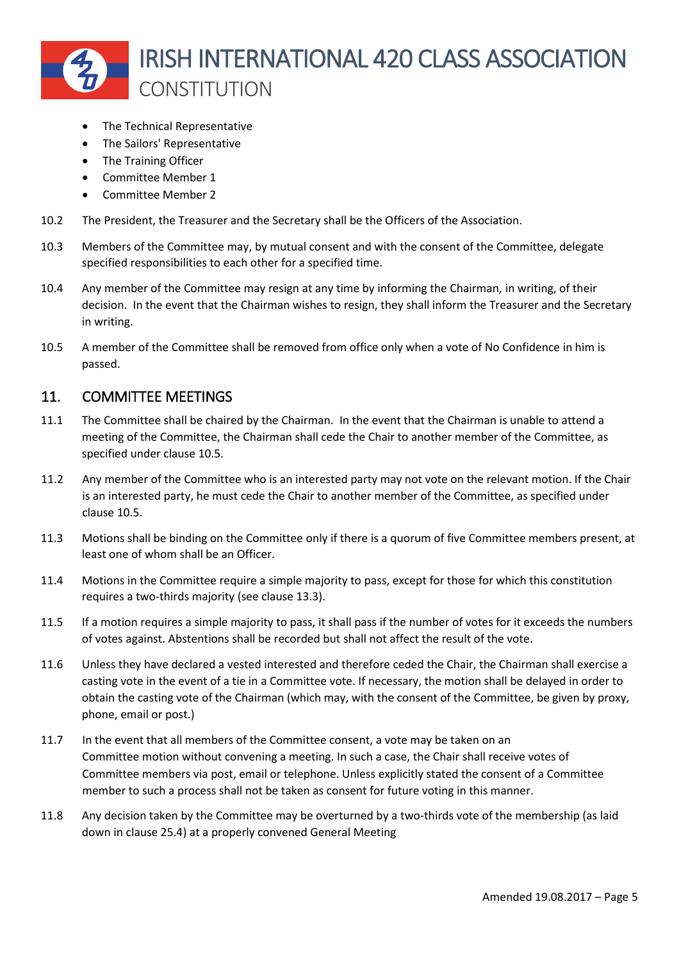

- The Technical Representative
- The Sailors' Representative
- The Training Officer
- Committee Member 1
- Committee Member 2
- 10.2 The President, the Treasurer and the Secretary shall be the Officers of the Association.
- 10.3 Members of the Committee may, by mutual consent and with the consent of the Committee, delegate specified responsibilities to each other for a specified time.
- 10.4 Any member of the Committee may resign at any time by informing the Chairman, in writing, of their decision. In the event that the Chairman wishes to resign, they shall inform the Treasurer and the Secretary in writing.
- 10.5 A member of the Committee shall be removed from office only when a vote of No Confidence in him is passed.

#### 11. COMMITTEE MEETINGS

- 11.1 The Committee shall be chaired by the Chairman. In the event that the Chairman is unable to attend a meeting of the Committee, the Chairman shall cede the Chair to another member of the Committee, as specified under clause 10.5.
- 11.2 Any member of the Committee who is an interested party may not vote on the relevant motion. If the Chair is an interested party, he must cede the Chair to another member of the Committee, as specified under clause 10.5.
- 11.3 Motions shall be binding on the Committee only if there is a quorum of five Committee members present, at least one of whom shall be an Officer.
- 11.4 Motions in the Committee require a simple majority to pass, except for those for which this constitution requires a two-thirds majority (see clause 13.3).
- 11.5 If a motion requires a simple majority to pass, it shall pass if the number of votes for it exceeds the numbers of votes against. Abstentions shall be recorded but shall not affect the result of the vote.
- 11.6 Unless they have declared a vested interested and therefore ceded the Chair, the Chairman shall exercise a casting vote in the event of a tie in a Committee vote. If necessary, the motion shall be delayed in order to obtain the casting vote of the Chairman (which may, with the consent of the Committee, be given by proxy, phone, email or post.)
- 11.7 In the event that all members of the Committee consent, a vote may be taken on an Committee motion without convening a meeting. In such a case, the Chair shall receive votes of Committee members via post, email or telephone. Unless explicitly stated the consent of a Committee member to such a process shall not be taken as consent for future voting in this manner.
- 11.8 Any decision taken by the Committee may be overturned by a two-thirds vote of the membership (as laid down in clause 25.4) at a properly convened General Meeting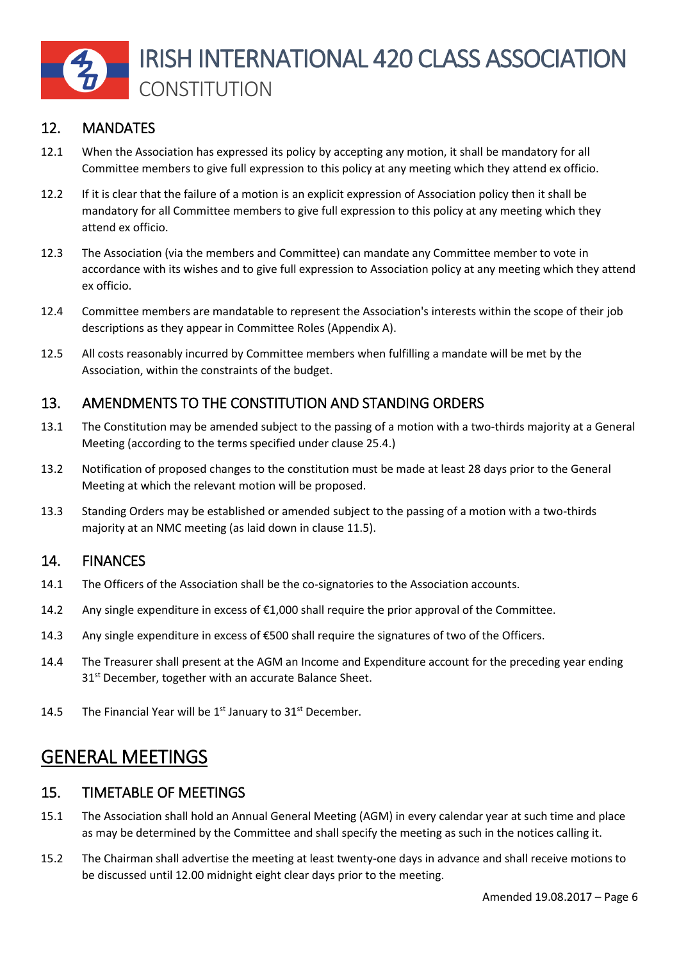

#### 12. MANDATES

- 12.1 When the Association has expressed its policy by accepting any motion, it shall be mandatory for all Committee members to give full expression to this policy at any meeting which they attend ex officio.
- 12.2 If it is clear that the failure of a motion is an explicit expression of Association policy then it shall be mandatory for all Committee members to give full expression to this policy at any meeting which they attend ex officio.
- 12.3 The Association (via the members and Committee) can mandate any Committee member to vote in accordance with its wishes and to give full expression to Association policy at any meeting which they attend ex officio.
- 12.4 Committee members are mandatable to represent the Association's interests within the scope of their job descriptions as they appear in Committee Roles (Appendix A).
- 12.5 All costs reasonably incurred by Committee members when fulfilling a mandate will be met by the Association, within the constraints of the budget.

#### 13. AMENDMENTS TO THE CONSTITUTION AND STANDING ORDERS

- 13.1 The Constitution may be amended subject to the passing of a motion with a two-thirds majority at a General Meeting (according to the terms specified under clause 25.4.)
- 13.2 Notification of proposed changes to the constitution must be made at least 28 days prior to the General Meeting at which the relevant motion will be proposed.
- 13.3 Standing Orders may be established or amended subject to the passing of a motion with a two-thirds majority at an NMC meeting (as laid down in clause 11.5).

#### 14. FINANCES

- 14.1 The Officers of the Association shall be the co-signatories to the Association accounts.
- 14.2 Any single expenditure in excess of €1,000 shall require the prior approval of the Committee.
- 14.3 Any single expenditure in excess of €500 shall require the signatures of two of the Officers.
- 14.4 The Treasurer shall present at the AGM an Income and Expenditure account for the preceding year ending 31<sup>st</sup> December, together with an accurate Balance Sheet.
- 14.5 The Financial Year will be  $1<sup>st</sup>$  January to  $31<sup>st</sup>$  December.

# GENERAL MEETINGS

#### 15. TIMETABLE OF MEETINGS

- 15.1 The Association shall hold an Annual General Meeting (AGM) in every calendar year at such time and place as may be determined by the Committee and shall specify the meeting as such in the notices calling it.
- 15.2 The Chairman shall advertise the meeting at least twenty-one days in advance and shall receive motions to be discussed until 12.00 midnight eight clear days prior to the meeting.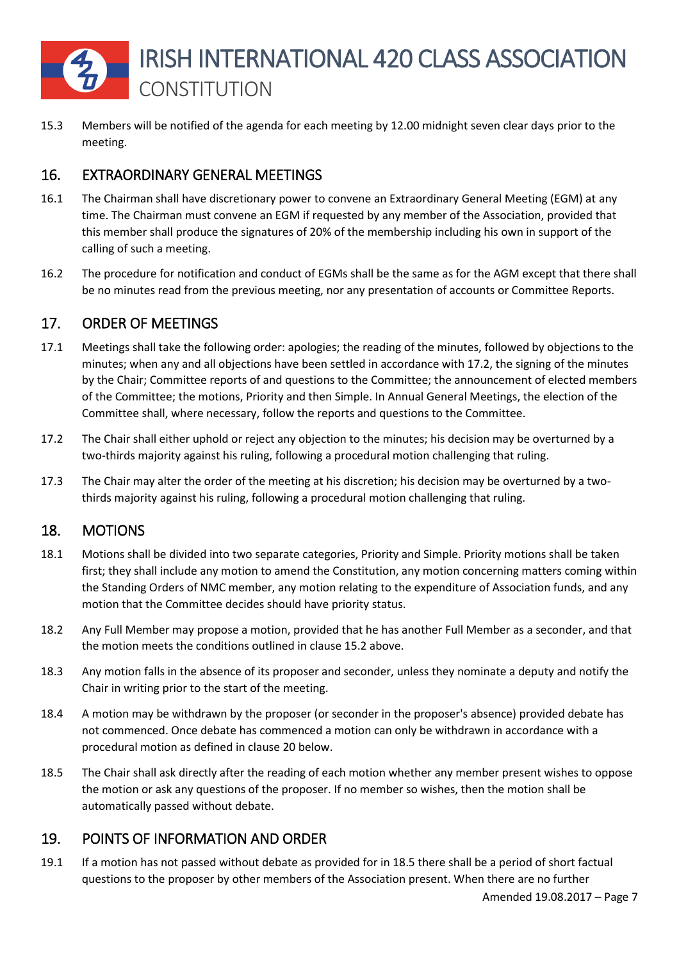

15.3 Members will be notified of the agenda for each meeting by 12.00 midnight seven clear days prior to the meeting.

## 16. EXTRAORDINARY GENERAL MEETINGS

- 16.1 The Chairman shall have discretionary power to convene an Extraordinary General Meeting (EGM) at any time. The Chairman must convene an EGM if requested by any member of the Association, provided that this member shall produce the signatures of 20% of the membership including his own in support of the calling of such a meeting.
- 16.2 The procedure for notification and conduct of EGMs shall be the same as for the AGM except that there shall be no minutes read from the previous meeting, nor any presentation of accounts or Committee Reports.

## 17. ORDER OF MEETINGS

- 17.1 Meetings shall take the following order: apologies; the reading of the minutes, followed by objections to the minutes; when any and all objections have been settled in accordance with 17.2, the signing of the minutes by the Chair; Committee reports of and questions to the Committee; the announcement of elected members of the Committee; the motions, Priority and then Simple. In Annual General Meetings, the election of the Committee shall, where necessary, follow the reports and questions to the Committee.
- 17.2 The Chair shall either uphold or reject any objection to the minutes; his decision may be overturned by a two-thirds majority against his ruling, following a procedural motion challenging that ruling.
- 17.3 The Chair may alter the order of the meeting at his discretion; his decision may be overturned by a twothirds majority against his ruling, following a procedural motion challenging that ruling.

#### 18. MOTIONS

- 18.1 Motions shall be divided into two separate categories, Priority and Simple. Priority motions shall be taken first; they shall include any motion to amend the Constitution, any motion concerning matters coming within the Standing Orders of NMC member, any motion relating to the expenditure of Association funds, and any motion that the Committee decides should have priority status.
- 18.2 Any Full Member may propose a motion, provided that he has another Full Member as a seconder, and that the motion meets the conditions outlined in clause 15.2 above.
- 18.3 Any motion falls in the absence of its proposer and seconder, unless they nominate a deputy and notify the Chair in writing prior to the start of the meeting.
- 18.4 A motion may be withdrawn by the proposer (or seconder in the proposer's absence) provided debate has not commenced. Once debate has commenced a motion can only be withdrawn in accordance with a procedural motion as defined in clause 20 below.
- 18.5 The Chair shall ask directly after the reading of each motion whether any member present wishes to oppose the motion or ask any questions of the proposer. If no member so wishes, then the motion shall be automatically passed without debate.

## 19. POINTS OF INFORMATION AND ORDER

19.1 If a motion has not passed without debate as provided for in 18.5 there shall be a period of short factual questions to the proposer by other members of the Association present. When there are no further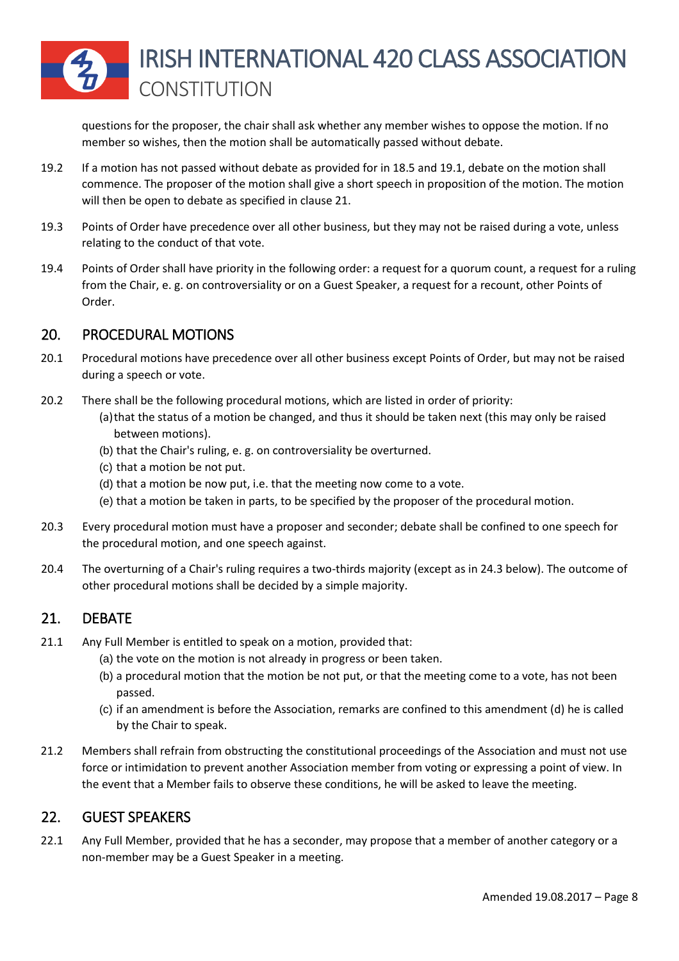questions for the proposer, the chair shall ask whether any member wishes to oppose the motion. If no member so wishes, then the motion shall be automatically passed without debate.

- 19.2 If a motion has not passed without debate as provided for in 18.5 and 19.1, debate on the motion shall commence. The proposer of the motion shall give a short speech in proposition of the motion. The motion will then be open to debate as specified in clause 21.
- 19.3 Points of Order have precedence over all other business, but they may not be raised during a vote, unless relating to the conduct of that vote.
- 19.4 Points of Order shall have priority in the following order: a request for a quorum count, a request for a ruling from the Chair, e. g. on controversiality or on a Guest Speaker, a request for a recount, other Points of Order.

## 20. PROCEDURAL MOTIONS

- 20.1 Procedural motions have precedence over all other business except Points of Order, but may not be raised during a speech or vote.
- 20.2 There shall be the following procedural motions, which are listed in order of priority:
	- (a)that the status of a motion be changed, and thus it should be taken next (this may only be raised between motions).
	- (b) that the Chair's ruling, e. g. on controversiality be overturned.
	- (c) that a motion be not put.
	- (d) that a motion be now put, i.e. that the meeting now come to a vote.
	- (e) that a motion be taken in parts, to be specified by the proposer of the procedural motion.
- 20.3 Every procedural motion must have a proposer and seconder; debate shall be confined to one speech for the procedural motion, and one speech against.
- 20.4 The overturning of a Chair's ruling requires a two-thirds majority (except as in 24.3 below). The outcome of other procedural motions shall be decided by a simple majority.

#### 21. DEBATE

- 21.1 Any Full Member is entitled to speak on a motion, provided that:
	- (a) the vote on the motion is not already in progress or been taken.
	- (b) a procedural motion that the motion be not put, or that the meeting come to a vote, has not been passed.
	- (c) if an amendment is before the Association, remarks are confined to this amendment (d) he is called by the Chair to speak.
- 21.2 Members shall refrain from obstructing the constitutional proceedings of the Association and must not use force or intimidation to prevent another Association member from voting or expressing a point of view. In the event that a Member fails to observe these conditions, he will be asked to leave the meeting.

#### 22. GUEST SPEAKERS

22.1 Any Full Member, provided that he has a seconder, may propose that a member of another category or a non-member may be a Guest Speaker in a meeting.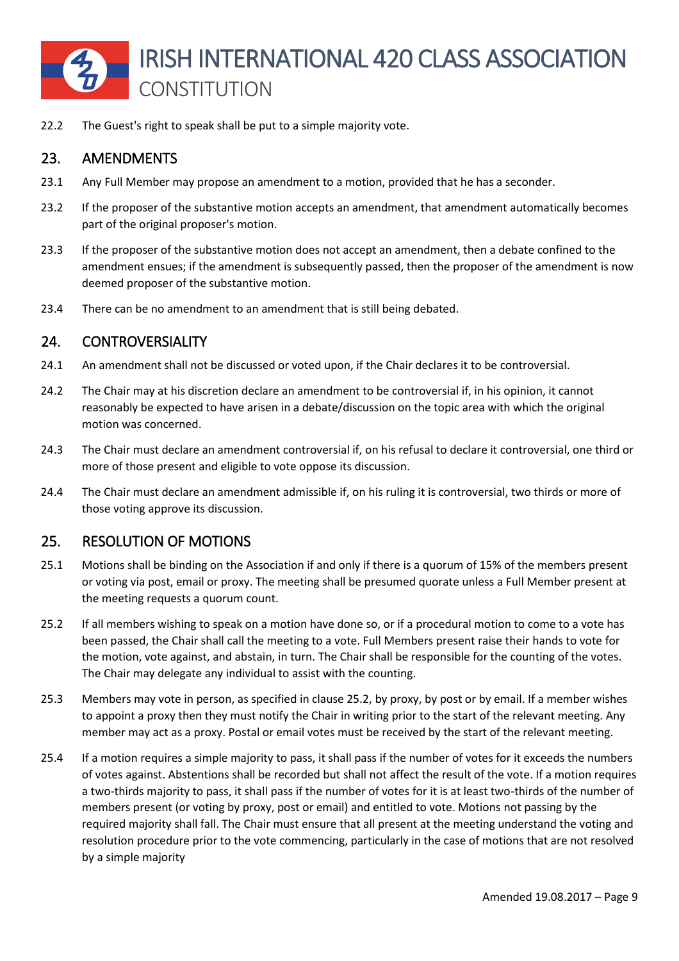

22.2 The Guest's right to speak shall be put to a simple majority vote.

#### 23. AMENDMENTS

- 23.1 Any Full Member may propose an amendment to a motion, provided that he has a seconder.
- 23.2 If the proposer of the substantive motion accepts an amendment, that amendment automatically becomes part of the original proposer's motion.
- 23.3 If the proposer of the substantive motion does not accept an amendment, then a debate confined to the amendment ensues; if the amendment is subsequently passed, then the proposer of the amendment is now deemed proposer of the substantive motion.
- 23.4 There can be no amendment to an amendment that is still being debated.

#### 24. CONTROVERSIALITY

- 24.1 An amendment shall not be discussed or voted upon, if the Chair declares it to be controversial.
- 24.2 The Chair may at his discretion declare an amendment to be controversial if, in his opinion, it cannot reasonably be expected to have arisen in a debate/discussion on the topic area with which the original motion was concerned.
- 24.3 The Chair must declare an amendment controversial if, on his refusal to declare it controversial, one third or more of those present and eligible to vote oppose its discussion.
- 24.4 The Chair must declare an amendment admissible if, on his ruling it is controversial, two thirds or more of those voting approve its discussion.

#### 25. RESOLUTION OF MOTIONS

- 25.1 Motions shall be binding on the Association if and only if there is a quorum of 15% of the members present or voting via post, email or proxy. The meeting shall be presumed quorate unless a Full Member present at the meeting requests a quorum count.
- 25.2 If all members wishing to speak on a motion have done so, or if a procedural motion to come to a vote has been passed, the Chair shall call the meeting to a vote. Full Members present raise their hands to vote for the motion, vote against, and abstain, in turn. The Chair shall be responsible for the counting of the votes. The Chair may delegate any individual to assist with the counting.
- 25.3 Members may vote in person, as specified in clause 25.2, by proxy, by post or by email. If a member wishes to appoint a proxy then they must notify the Chair in writing prior to the start of the relevant meeting. Any member may act as a proxy. Postal or email votes must be received by the start of the relevant meeting.
- 25.4 If a motion requires a simple majority to pass, it shall pass if the number of votes for it exceeds the numbers of votes against. Abstentions shall be recorded but shall not affect the result of the vote. If a motion requires a two-thirds majority to pass, it shall pass if the number of votes for it is at least two-thirds of the number of members present (or voting by proxy, post or email) and entitled to vote. Motions not passing by the required majority shall fall. The Chair must ensure that all present at the meeting understand the voting and resolution procedure prior to the vote commencing, particularly in the case of motions that are not resolved by a simple majority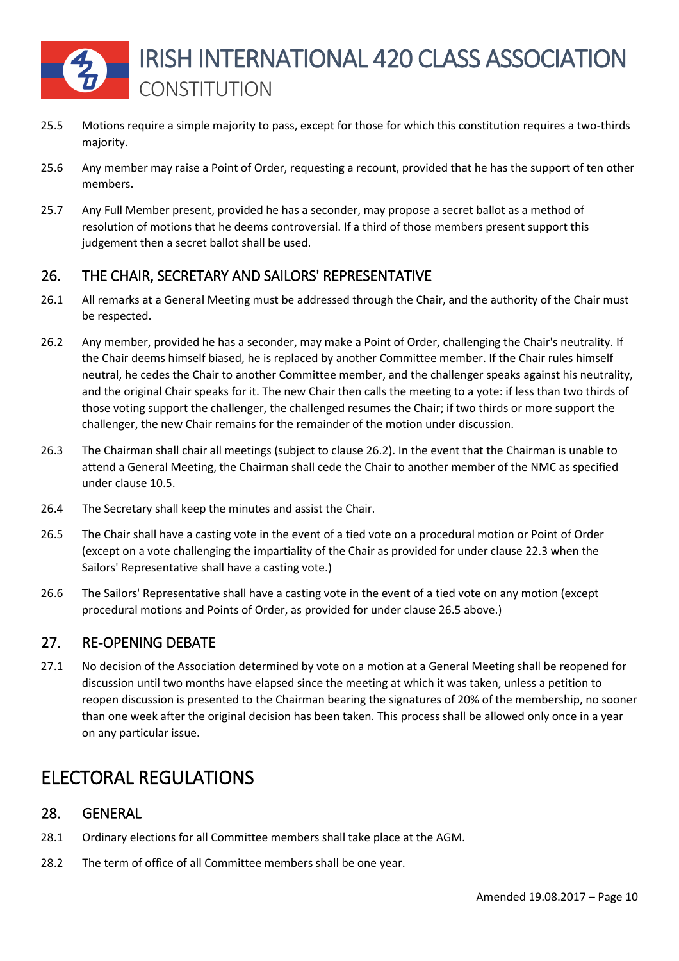

- 25.5 Motions require a simple majority to pass, except for those for which this constitution requires a two-thirds majority.
- 25.6 Any member may raise a Point of Order, requesting a recount, provided that he has the support of ten other members.
- 25.7 Any Full Member present, provided he has a seconder, may propose a secret ballot as a method of resolution of motions that he deems controversial. If a third of those members present support this judgement then a secret ballot shall be used.

## 26. THE CHAIR, SECRETARY AND SAILORS' REPRESENTATIVE

- 26.1 All remarks at a General Meeting must be addressed through the Chair, and the authority of the Chair must be respected.
- 26.2 Any member, provided he has a seconder, may make a Point of Order, challenging the Chair's neutrality. If the Chair deems himself biased, he is replaced by another Committee member. If the Chair rules himself neutral, he cedes the Chair to another Committee member, and the challenger speaks against his neutrality, and the original Chair speaks for it. The new Chair then calls the meeting to a yote: if less than two thirds of those voting support the challenger, the challenged resumes the Chair; if two thirds or more support the challenger, the new Chair remains for the remainder of the motion under discussion.
- 26.3 The Chairman shall chair all meetings (subject to clause 26.2). In the event that the Chairman is unable to attend a General Meeting, the Chairman shall cede the Chair to another member of the NMC as specified under clause 10.5.
- 26.4 The Secretary shall keep the minutes and assist the Chair.
- 26.5 The Chair shall have a casting vote in the event of a tied vote on a procedural motion or Point of Order (except on a vote challenging the impartiality of the Chair as provided for under clause 22.3 when the Sailors' Representative shall have a casting vote.)
- 26.6 The Sailors' Representative shall have a casting vote in the event of a tied vote on any motion (except procedural motions and Points of Order, as provided for under clause 26.5 above.)

#### 27. RE-OPENING DEBATE

27.1 No decision of the Association determined by vote on a motion at a General Meeting shall be reopened for discussion until two months have elapsed since the meeting at which it was taken, unless a petition to reopen discussion is presented to the Chairman bearing the signatures of 20% of the membership, no sooner than one week after the original decision has been taken. This process shall be allowed only once in a year on any particular issue.

# ELECTORAL REGULATIONS

#### 28. GENERAL

- 28.1 Ordinary elections for all Committee members shall take place at the AGM.
- 28.2 The term of office of all Committee members shall be one year.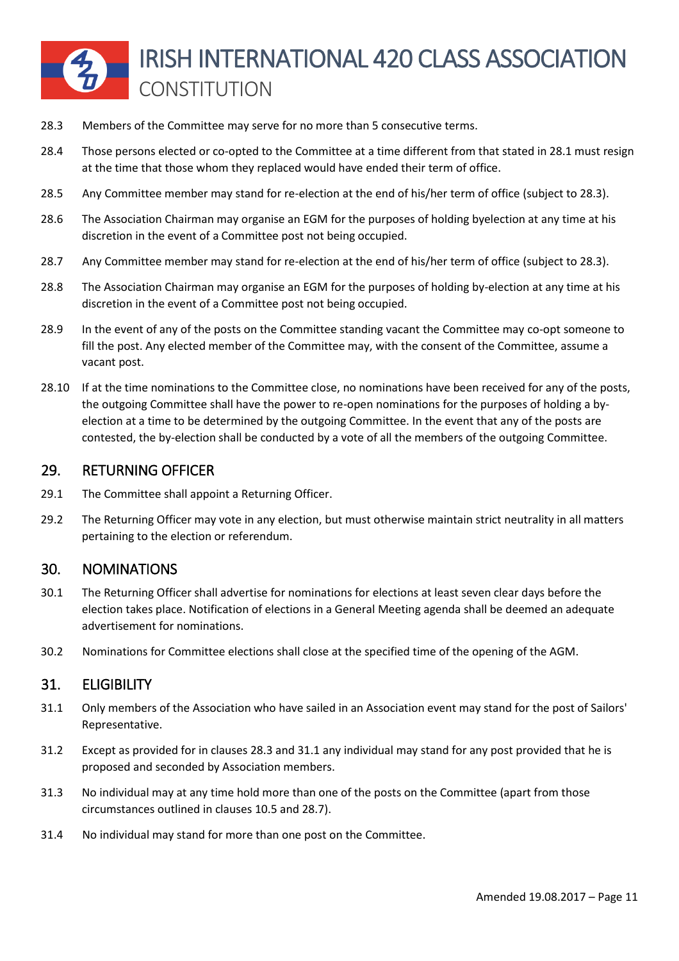- 28.3 Members of the Committee may serve for no more than 5 consecutive terms.
- 28.4 Those persons elected or co-opted to the Committee at a time different from that stated in 28.1 must resign at the time that those whom they replaced would have ended their term of office.
- 28.5 Any Committee member may stand for re-election at the end of his/her term of office (subject to 28.3).
- 28.6 The Association Chairman may organise an EGM for the purposes of holding byelection at any time at his discretion in the event of a Committee post not being occupied.
- 28.7 Any Committee member may stand for re-election at the end of his/her term of office (subject to 28.3).
- 28.8 The Association Chairman may organise an EGM for the purposes of holding by-election at any time at his discretion in the event of a Committee post not being occupied.
- 28.9 In the event of any of the posts on the Committee standing vacant the Committee may co-opt someone to fill the post. Any elected member of the Committee may, with the consent of the Committee, assume a vacant post.
- 28.10 If at the time nominations to the Committee close, no nominations have been received for any of the posts, the outgoing Committee shall have the power to re-open nominations for the purposes of holding a byelection at a time to be determined by the outgoing Committee. In the event that any of the posts are contested, the by-election shall be conducted by a vote of all the members of the outgoing Committee.

#### 29. RETURNING OFFICER

- 29.1 The Committee shall appoint a Returning Officer.
- 29.2 The Returning Officer may vote in any election, but must otherwise maintain strict neutrality in all matters pertaining to the election or referendum.

#### 30. NOMINATIONS

- 30.1 The Returning Officer shall advertise for nominations for elections at least seven clear days before the election takes place. Notification of elections in a General Meeting agenda shall be deemed an adequate advertisement for nominations.
- 30.2 Nominations for Committee elections shall close at the specified time of the opening of the AGM.

#### 31. ELIGIBILITY

- 31.1 Only members of the Association who have sailed in an Association event may stand for the post of Sailors' Representative.
- 31.2 Except as provided for in clauses 28.3 and 31.1 any individual may stand for any post provided that he is proposed and seconded by Association members.
- 31.3 No individual may at any time hold more than one of the posts on the Committee (apart from those circumstances outlined in clauses 10.5 and 28.7).
- 31.4 No individual may stand for more than one post on the Committee.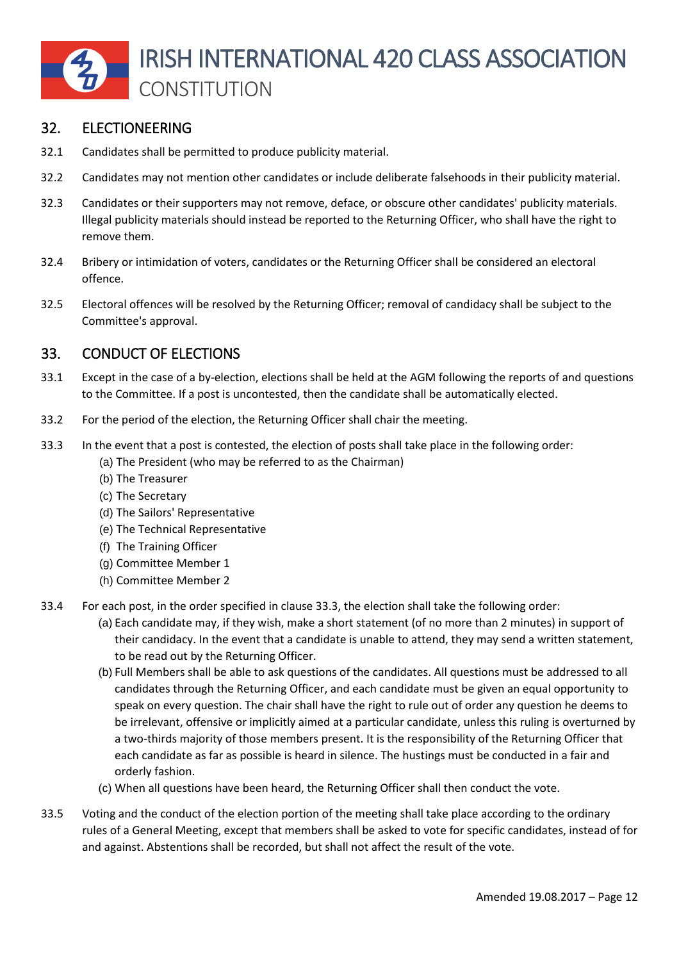

#### 32. ELECTIONEERING

- 32.1 Candidates shall be permitted to produce publicity material.
- 32.2 Candidates may not mention other candidates or include deliberate falsehoods in their publicity material.
- 32.3 Candidates or their supporters may not remove, deface, or obscure other candidates' publicity materials. Illegal publicity materials should instead be reported to the Returning Officer, who shall have the right to remove them.
- 32.4 Bribery or intimidation of voters, candidates or the Returning Officer shall be considered an electoral offence.
- 32.5 Electoral offences will be resolved by the Returning Officer; removal of candidacy shall be subject to the Committee's approval.

#### 33. CONDUCT OF ELECTIONS

- 33.1 Except in the case of a by-election, elections shall be held at the AGM following the reports of and questions to the Committee. If a post is uncontested, then the candidate shall be automatically elected.
- 33.2 For the period of the election, the Returning Officer shall chair the meeting.
- 33.3 In the event that a post is contested, the election of posts shall take place in the following order:
	- (a) The President (who may be referred to as the Chairman)
	- (b) The Treasurer
	- (c) The Secretary
	- (d) The Sailors' Representative
	- (e) The Technical Representative
	- (f) The Training Officer
	- (g) Committee Member 1
	- (h) Committee Member 2
- 33.4 For each post, in the order specified in clause 33.3, the election shall take the following order:
	- (a) Each candidate may, if they wish, make a short statement (of no more than 2 minutes) in support of their candidacy. In the event that a candidate is unable to attend, they may send a written statement, to be read out by the Returning Officer.
	- (b) Full Members shall be able to ask questions of the candidates. All questions must be addressed to all candidates through the Returning Officer, and each candidate must be given an equal opportunity to speak on every question. The chair shall have the right to rule out of order any question he deems to be irrelevant, offensive or implicitly aimed at a particular candidate, unless this ruling is overturned by a two-thirds majority of those members present. It is the responsibility of the Returning Officer that each candidate as far as possible is heard in silence. The hustings must be conducted in a fair and orderly fashion.
	- (c) When all questions have been heard, the Returning Officer shall then conduct the vote.
- 33.5 Voting and the conduct of the election portion of the meeting shall take place according to the ordinary rules of a General Meeting, except that members shall be asked to vote for specific candidates, instead of for and against. Abstentions shall be recorded, but shall not affect the result of the vote.